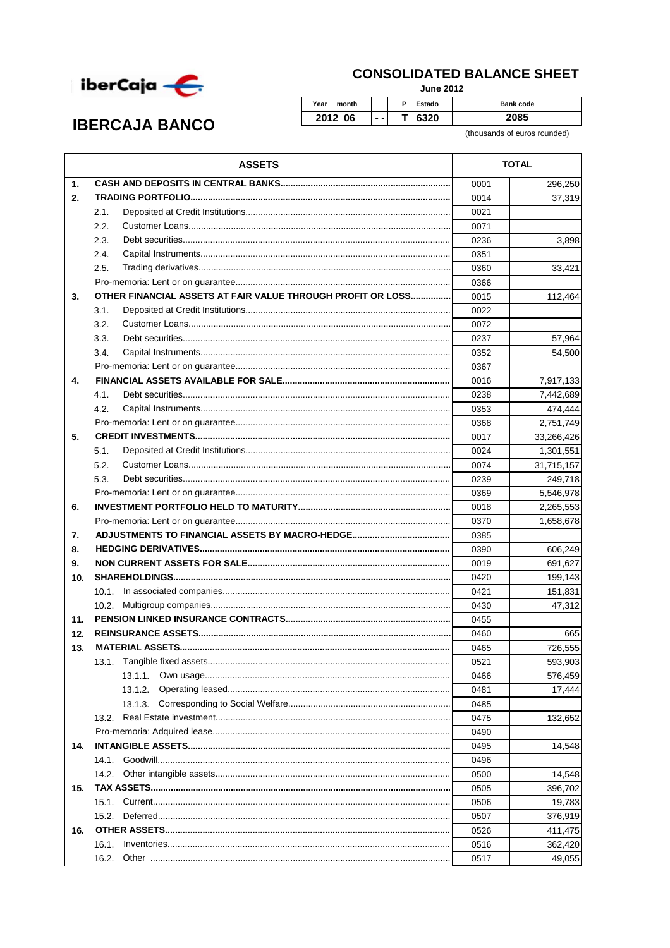

## **CONSOLIDATED BALANCE SHEET**

**June 2012** 

## **IBERCAJA BANCO**

Year month  $P$ Estado Bank code 2012 06  $\overline{\mathsf{T}}$ 6320 2085

(thousands of euros rounded)

|                | <b>ASSETS</b>                                               | <b>TOTAL</b> |            |
|----------------|-------------------------------------------------------------|--------------|------------|
| $\mathbf{1}$ . |                                                             | 0001         | 296,250    |
| 2.             |                                                             | 0014         | 37,319     |
|                | 2.1.                                                        | 0021         |            |
|                | 2.2.                                                        | 0071         |            |
|                | 2.3.                                                        | 0236         | 3,898      |
|                | 2.4.                                                        | 0351         |            |
|                | 2.5.                                                        | 0360         | 33,421     |
|                |                                                             | 0366         |            |
| 3.             | OTHER FINANCIAL ASSETS AT FAIR VALUE THROUGH PROFIT OR LOSS | 0015         | 112,464    |
|                | 3.1.                                                        | 0022         |            |
|                | 3.2.                                                        | 0072         |            |
|                | 3.3.                                                        | 0237         | 57,964     |
|                | 3.4.                                                        | 0352         | 54,500     |
|                |                                                             | 0367         |            |
| 4.             |                                                             | 0016         | 7,917,133  |
|                | 4.1.                                                        | 0238         | 7,442,689  |
|                | 4.2.                                                        | 0353         | 474,444    |
|                |                                                             | 0368         | 2,751,749  |
| 5.             |                                                             | 0017         | 33,266,426 |
|                | 5.1.                                                        | 0024         | 1,301,551  |
|                | 5.2.                                                        | 0074         | 31,715,157 |
|                | 5.3.                                                        | 0239         | 249,718    |
|                |                                                             | 0369         | 5,546,978  |
| 6.             |                                                             | 0018         | 2,265,553  |
|                |                                                             |              | 1,658,678  |
| 7.             |                                                             | 0370<br>0385 |            |
| 8.             |                                                             | 0390         | 606,249    |
| 9.             |                                                             | 0019         | 691,627    |
| 10.            |                                                             | 0420         | 199,143    |
|                |                                                             | 0421         | 151,831    |
|                | 10.2.                                                       | 0430         | 47,312     |
| 11.            |                                                             | 0455         |            |
| 12.            |                                                             | 0460         | 665        |
| 13.            |                                                             |              | 726,555    |
|                |                                                             | 0465<br>0521 | 593,903    |
|                | 13.1.1.                                                     | 0466         | 576,459    |
|                | 13.1.2.                                                     | 0481         | 17,444     |
|                | 13.1.3.                                                     | 0485         |            |
|                | 13.2.                                                       | 0475         | 132,652    |
|                |                                                             |              |            |
| 14.            |                                                             |              | 14,548     |
|                | 14.1.                                                       | 0495<br>0496 |            |
|                | 14.2.                                                       | 0500         | 14,548     |
| 15.            |                                                             | 0505         | 396,702    |
|                |                                                             | 0506         | 19,783     |
|                |                                                             | 0507         | 376,919    |
| 16.            |                                                             | 0526         | 411,475    |
|                | 16.1.                                                       | 0516         | 362,420    |
|                | 16.2.                                                       |              |            |
|                |                                                             | 0517         | 49,055     |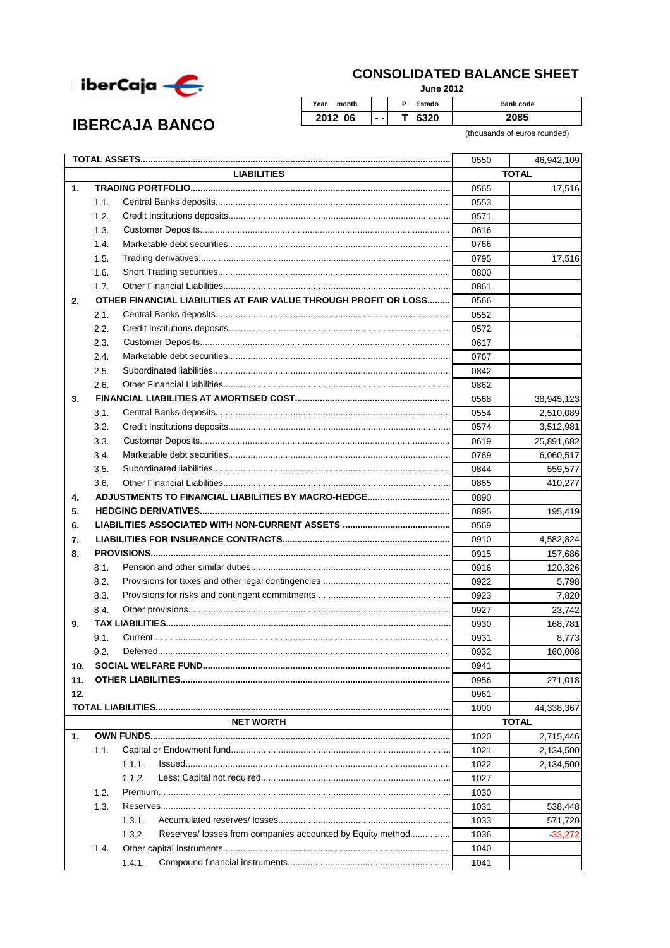

**IBERCAJA BANCO** 

## **CONSOLIDATED BALANCE SHEET**

**June 2012** 

Year month  $\overline{P}$ Estado Bank code 2012 06  $\overline{\mathsf{T}}$ 6320 2085  $\ddotsc$ 

(thousands of euros rounded)

|                |                    |                                                                      | 0550         | 46,942,109   |  |
|----------------|--------------------|----------------------------------------------------------------------|--------------|--------------|--|
|                | <b>LIABILITIES</b> |                                                                      |              | <b>TOTAL</b> |  |
| $\mathbf{1}$ . |                    |                                                                      |              | 17,516       |  |
|                | 1.1.               |                                                                      | 0553         |              |  |
|                | 1.2.               |                                                                      | 0571         |              |  |
|                | 1.3.               |                                                                      | 0616         |              |  |
|                | 1.4.               |                                                                      | 0766         |              |  |
|                | 1.5.               |                                                                      | 0795         | 17,516       |  |
|                | 1.6.               |                                                                      | 0800         |              |  |
|                | 1.7.               |                                                                      | 0861         |              |  |
| 2.             |                    | OTHER FINANCIAL LIABILITIES AT FAIR VALUE THROUGH PROFIT OR LOSS     | 0566         |              |  |
|                | 2.1.               |                                                                      | 0552         |              |  |
|                | 2.2.               |                                                                      | 0572         |              |  |
|                | 2.3.               |                                                                      | 0617         |              |  |
|                | 2.4.               |                                                                      | 0767         |              |  |
|                | 2.5.               |                                                                      | 0842         |              |  |
|                | 2.6.               |                                                                      |              |              |  |
| 3.             |                    |                                                                      |              | 38,945,123   |  |
|                | 3.1.               |                                                                      | 0554         | 2,510,089    |  |
|                | 3.2.               |                                                                      | 0574         | 3,512,981    |  |
|                | 3.3.               |                                                                      | 0619         | 25,891,682   |  |
|                | 3.4.               |                                                                      | 0769         | 6,060,517    |  |
|                | 3.5.               |                                                                      | 0844         | 559,577      |  |
|                | 3.6.               |                                                                      | 0865         | 410,277      |  |
| 4.             |                    |                                                                      | 0890         |              |  |
| 5.             |                    |                                                                      | 0895         | 195,419      |  |
| 6.             |                    |                                                                      | 0569         |              |  |
| 7.             |                    |                                                                      | 0910         | 4,582,824    |  |
| 8.             |                    |                                                                      |              | 157,686      |  |
|                | 8.1.               |                                                                      |              | 120,326      |  |
|                | 8.2.               |                                                                      | 0922         | 5,798        |  |
|                | 8.3.               |                                                                      | 0923         | 7,820        |  |
|                | 8.4.               |                                                                      | 0927         | 23,742       |  |
| 9.             |                    |                                                                      |              | 168,781      |  |
|                | 9.1.               |                                                                      | 0931         | 8,773        |  |
|                | 9.2.               |                                                                      | 0932         | 160,008      |  |
| 10.            |                    |                                                                      |              |              |  |
| 11.            |                    |                                                                      | 0956         | 271,018      |  |
| 12.            |                    |                                                                      | 0961         |              |  |
|                |                    |                                                                      | 1000         | 44,338,367   |  |
|                |                    | <b>NET WORTH</b>                                                     | <b>TOTAL</b> |              |  |
| $\mathbf{1}$ . |                    |                                                                      | 1020         | 2,715,446    |  |
|                | 1.1.               |                                                                      | 1021         | 2,134,500    |  |
|                |                    | 1.1.1.                                                               | 1022         | 2,134,500    |  |
|                |                    | 1.1.2.                                                               | 1027         |              |  |
|                | 1.2.               |                                                                      | 1030         |              |  |
|                | 1.3.               |                                                                      | 1031         | 538,448      |  |
|                |                    | 1.3.1.                                                               | 1033         | 571,720      |  |
|                |                    | Reserves/ losses from companies accounted by Equity method<br>1.3.2. | 1036         | $-33,272$    |  |
|                | 1.4.               |                                                                      | 1040         |              |  |
|                |                    | 1.4.1.                                                               | 1041         |              |  |